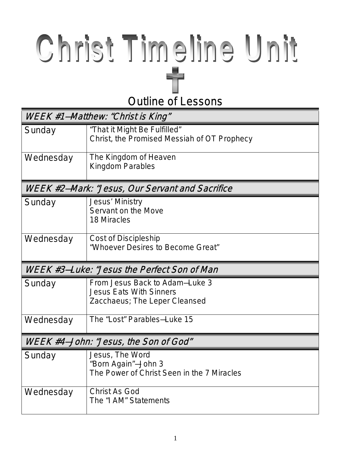## $\frac{1}{\sqrt{2}}$ Outline of Lessons

| WEEK #1–Matthew: "Christ is King"               |                                                                                                   |  |  |
|-------------------------------------------------|---------------------------------------------------------------------------------------------------|--|--|
| Sunday                                          | "That it Might Be Fulfilled"<br>Christ, the Promised Messiah of OT Prophecy                       |  |  |
| Wednesday                                       | The Kingdom of Heaven<br>Kingdom Parables                                                         |  |  |
| WEEK #2–Mark: "Jesus, Our Servant and Sacrifice |                                                                                                   |  |  |
| Sunday                                          | Jesus' Ministry<br>Servant on the Move<br><b>18 Miracles</b>                                      |  |  |
| Wednesday                                       | Cost of Discipleship<br>"Whoever Desires to Become Great"                                         |  |  |
| WEEK #3–Luke: "Jesus the Perfect Son of Man     |                                                                                                   |  |  |
|                                                 |                                                                                                   |  |  |
| Sunday                                          | From Jesus Back to Adam–Luke 3<br><b>Jesus Eats With Sinners</b><br>Zacchaeus; The Leper Cleansed |  |  |
| Wednesday                                       | The "Lost" Parables-Luke 15                                                                       |  |  |
|                                                 | WEEK #4-John: "Jesus, the Son of God"                                                             |  |  |
| Sunday                                          | Jesus, The Word<br>"Born Again"-John 3<br>The Power of Christ Seen in the 7 Miracles              |  |  |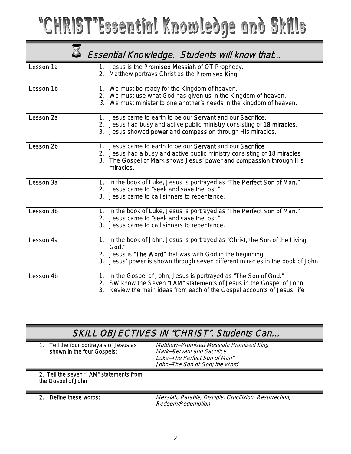## "CHRIST"Essential Knowledge and Skills

|                      | Essential Knowledge. Students will know that                                                                                                                                                                                         |
|----------------------|--------------------------------------------------------------------------------------------------------------------------------------------------------------------------------------------------------------------------------------|
| Lesson 1a            | 1. Jesus is the Promised Messiah of OT Prophecy.<br>2. Matthew portrays Christ as the Promised King.                                                                                                                                 |
| Lesson 1b            | 1. We must be ready for the Kingdom of heaven.<br>2. We must use what God has given us in the Kingdom of heaven.<br>3. We must minister to one another's needs in the kingdom of heaven.                                             |
| Lesson <sub>2a</sub> | 1. Jesus came to earth to be our Servant and our Sacrifice.<br>2. Jesus had busy and active public ministry consisting of 18 miracles.<br>3. Jesus showed power and compassion through His miracles.                                 |
| Lesson 2b            | 1. Jesus came to earth to be our Servant and our Sacrifice<br>2. Jesus had a busy and active public ministry consisting of 18 miracles<br>3. The Gospel of Mark shows Jesus' power and compassion through His<br>miracles.           |
| Lesson 3a            | 1. In the book of Luke, Jesus is portrayed as "The Perfect Son of Man."<br>2. Jesus came to "seek and save the lost."<br>3. Jesus came to call sinners to repentance.                                                                |
| Lesson 3b            | 1. In the book of Luke, Jesus is portrayed as "The Perfect Son of Man."<br>2. Jesus came to "seek and save the lost."<br>3. Jesus came to call sinners to repentance.                                                                |
| Lesson 4a            | 1. In the book of John, Jesus is portrayed as "Christ, the Son of the Living<br>God."<br>2. Jesus is "The Word" that was with God in the beginning.<br>3. Jesus' power is shown through seven different miracles in the book of John |
| Lesson 4b            | 1. In the Gospel of John, Jesus is portrayed as "The Son of God."<br>2. SW know the Seven "I AM" statements of Jesus in the Gospel of John.<br>3. Review the main ideas from each of the Gospel accounts of Jesus' life              |

| SKILL OBJECTIVES IN "CHRIST". Students Can                            |                                                                                                                                        |  |
|-----------------------------------------------------------------------|----------------------------------------------------------------------------------------------------------------------------------------|--|
| 1. Tell the four portrayals of Jesus as<br>shown in the four Gospels: | Matthew–Promised Messiah; Promised King<br>Mark-Servant and Sacrifice<br>Luke–The Perfect Son of Man"<br>John-The Son of God; the Word |  |
| 2. Tell the seven "I AM" statements from<br>the Gospel of John        |                                                                                                                                        |  |
| Define these words:<br>$2^{\circ}$                                    | Messiah, Parable, Disciple, Crucifixion, Resurrection,<br>Redeem/Redemption                                                            |  |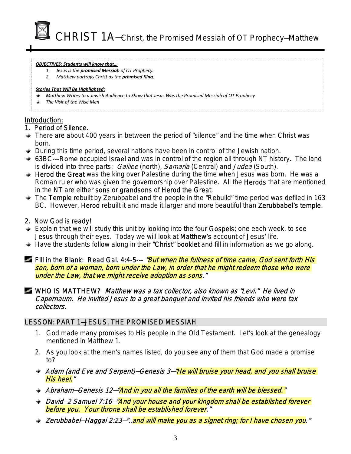CHRIST 1A—Christ, the Promised Messiah of OT Prophecy—Matthew

#### *OBJECTIVES: Students will know that…*

- *1. Jesus is the promised Messiah of OT Prophecy.*
- *2. Matthew portrays Christ as the promised King.*

#### *Stories That Will Be Highlighted:*

- *Matthew Writes to a Jewish Audience to Show that Jesus Was the Promised Messiah of OT Prophecy*
- *The Visit of the Wise Men*

## Introduction:

## 1. Period of Silence.

- $\rightarrow$  There are about 400 years in between the period of "silence" and the time when Christ was born.
- **→** During this time period, several nations have been in control of the Jewish nation.
- ♦ 63BC---Rome occupied Israel and was in control of the region all through NT history. The land is divided into three parts: Galilee (north), Samaria (Central) and Judea (South).
- $\div$  Herod the Great was the king over Palestine during the time when Jesus was born. He was a Roman ruler who was given the governorship over Palestine. All the Herods that are mentioned in the NT are either sons or grandsons of Herod the Great.
- $\rightarrow$  The Temple rebuilt by Zerubbabel and the people in the "Rebuild" time period was defiled in 163 BC. However, Herod rebuilt it and made it larger and more beautiful than Zerubbabel's temple.

## 2. Now God is ready!

- $\div$  Explain that we will study this unit by looking into the four Gospels; one each week, to see Jesus through their eyes. Today we will look at Matthew's account of Jesus' life.
- $\rightarrow$  Have the students follow along in their "Christ" booklet and fill in information as we go along.

Fill in the Blank: Read Gal. 4:4-5--- *"But when the fullness of time came, God sent forth His* son, born of a woman, born under the Law, in order that he might redeem those who were under the Law, that we might receive adoption as sons."

## WHO IS MATTHEW? Matthew was a tax collector, also known as "Levi." He lived in Capernaum. He invited Jesus to a great banquet and invited his friends who were tax collectors.

## LESSON: PART 1—JESUS, THE PROMISED MESSIAH

- 1. God made many promises to His people in the Old Testament. Let's look at the genealogy mentioned in Matthew 1.
- 2. As you look at the men's names listed, do you see any of them that God made a promise to?
- Adam (and Eve and Serpent)–Genesis 3–<del>"He will bruise your head, and you shall bruise</del> His heel."
- Abraham–Genesis 12–"And in you all the families of the earth will be blessed."
- **→ David–2 Samuel 7:16–"And your house and your kingdom shall be established forever** before you. Your throne shall be established forever."
- Zerubbabel—Haggai 2:23—"…and will make you as a signet ring; for I have chosen you."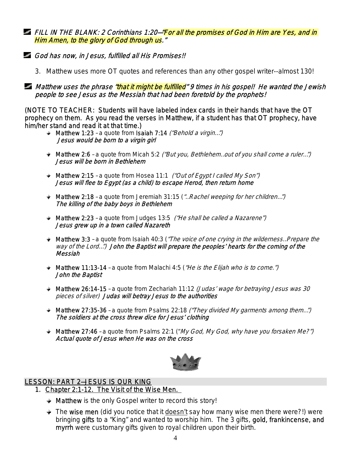FILL IN THE BLANK: 2 Corinthians 1:20–"For all the promises of God in Him are Yes, and in Him Amen, to the glory of God through us."

- God has now, in Jesus, fulfilled all His Promises!!
	- 3. Matthew uses more OT quotes and references than any other gospel writer--almost 130!

**Matthew uses the phrase "that it might be fulfilled"** 9 times in his gospel! He wanted the Jewish people to see Jesus as the Messiah that had been foretold by the prophets!

(NOTE TO TEACHER: Students will have labeled index cards in their hands that have the OT prophecy on them. As you read the verses in Matthew, if a student has that OT prophecy, have him/her stand and read it at that time.)

- **★ Matthew 1:23 a quote from Isaiah 7:14** ("Behold a virgin...") Jesus would be born to a virgin girl
- $\blacktriangleright$  Matthew 2:6 a quote from Micah 5:2 *("But you, Bethlehem...out of you shall come a ruler...")* Jesus will be born in Bethlehem
- $\rightarrow$  Matthew 2:15 a quote from Hosea 11:1 *("Out of Egypt I called My Son")* Jesus will flee to Egypt (as a child) to escape Herod, then return home
- **Matthew 2:18** a quote from Jeremiah 31:15 ("... Rachel weeping for her children...") The killing of the baby boys in Bethlehem
- $\rightarrow$  Matthew 2:23 a quote from Judges 13:5 ("He shall be called a Nazarene") Jesus grew up in a town called Nazareth
- **★ Matthew 3:3** a quote from Isaiah 40:3 ("The voice of one crying in the wilderness...Prepare the way of the Lord…") John the Baptist will prepare the peoples' hearts for the coming of the Messiah
- $\rightarrow$  Matthew 11:13-14 a quote from Malachi 4:5 ("He is the Elijah who is to come.") John the Baptist
- $\blacktriangleright$  Matthew 26:14-15 a quote from Zechariah 11:12 (Judas' wage for betraying Jesus was 30 pieces of silver) Judas will betray Jesus to the authorities
- $\bullet$  Matthew 27:35-36 a quote from Psalms 22:18 ("They divided My garments among them...") The soldiers at the cross threw dice for Jesus' clothing
- $\blacktriangleright$  Matthew 27:46 a quote from Psalms 22:1 ("My God, My God, why have you forsaken Me?") Actual quote of Jesus when He was on the cross



## LESSON: PART 2—JESUS IS OUR KING

- 1. Chapter 2:1-12. The Visit of the Wise Men.
	- **★ Matthew** is the only Gospel writer to record this story!
	- $\rightarrow$  The wise men (did you notice that it doesn't say how many wise men there were?!) were bringing gifts to a "King" and wanted to worship him. The 3 gifts, gold, frankincense, and myrrh were customary gifts given to royal children upon their birth.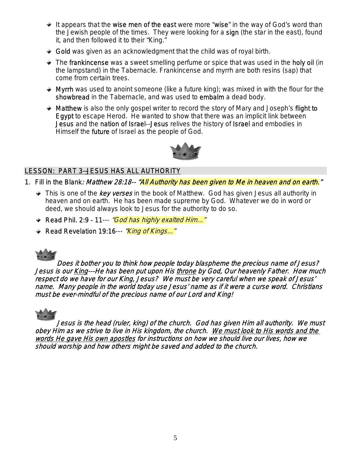- $\div$  It appears that the wise men of the east were more "wise" in the way of God's word than the Jewish people of the times. They were looking for a sign (the star in the east), found it, and then followed it to their "King."
- $\div$  Gold was given as an acknowledgment that the child was of royal birth.
- $\div$  The frankincense was a sweet smelling perfume or spice that was used in the holy oil (in the lampstand) in the Tabernacle. Frankincense and myrrh are both resins (sap) that come from certain trees.
- $\rightarrow$  Myrrh was used to anoint someone (like a future king); was mixed in with the flour for the showbread in the Tabernacle, and was used to embalm a dead body.
- $\rightarrow$  Matthew is also the only gospel writer to record the story of Mary and Joseph's flight to Egypt to escape Herod. He wanted to show that there was an implicit link between Jesus and the nation of Israel--Jesus relives the history of Israel and embodies in Himself the future of Israel as the people of God.



## LESSON: PART 3—JESUS HAS ALL AUTHORITY

- 1. Fill in the Blank: Matthew 28:18-- "All Authority has been given to Me in heaven and on earth."
	- $\rightarrow$  This is one of the *key verses* in the book of Matthew. God has given Jesus all authority in heaven and on earth. He has been made supreme by God. Whatever we do in word or deed, we should always look to Jesus for the authority to do so.
	- Read Phil. 2:9 11--- "God has highly exalted Him..."
	- Read Revelation 19:16--- "*King of Kings..."*



Does it bother you to think how people today blaspheme the precious name of Jesus? Jesus is our King---He has been put upon His throne by God, Our heavenly Father. How much respect do we have for our King, Jesus? We must be very careful when we speak of Jesus' name. Many people in the world today use Jesus' name as if it were a curse word. Christians must be ever-mindful of the precious name of our Lord and King!



Jesus is the head (ruler, king) of the church. God has given Him all authority. We must obey Him as we strive to live in His kingdom, the church. We must look to His words and the words He gave His own apostles for instructions on how we should live our lives, how we should worship and how others might be saved and added to the church.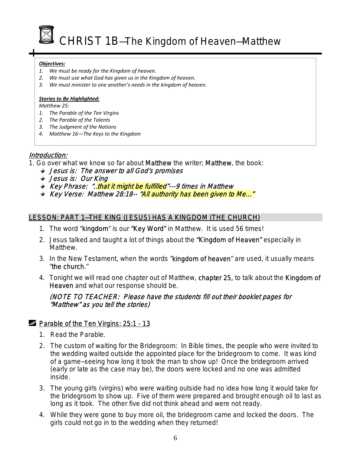CHRIST 1B-The Kingdom of Heaven-Matthew

#### *Objectives:*

- *1. We must be ready for the Kingdom of heaven.*
- *2. We must use what God has given us in the Kingdom of heaven.*
- *3. We must minister to one another's needs in the kingdom of heaven.*

#### *Stories to Be Highlighted:*

*Matthew 25:*

- *1. The Parable of the Ten Virgins*
- *2. The Parable of the Talents*
- *3. The Judgment of the Nations*
- *4. Matthew 16—The Keys to the Kingdom*

## Introduction:

- 1. Go over what we know so far about **Matthew** the writer; **Matthew**, the book:
	- **→ Jesus is: The answer to all God's promises**
	- Jesus is: Our King
	- **★ Key Phrase: "...that it might be fulfilled"---9 times in Matthew**
	- Key Verse: Matthew 28:18-- "All authority has been given to Me..."

## LESSON: PART 1—THE KING (JESUS) HAS A KINGDOM (THE CHURCH)

- 1. The word "kingdom" is our "Key Word" in Matthew. It is used 56 times!
- 2. Jesus talked and taught a lot of things about the "Kingdom of Heaven" especially in Matthew.
- 3. In the New Testament, when the words "kingdom of heaven" are used, it usually means "the church."
- 4. Tonight we will read one chapter out of Matthew, chapter 25, to talk about the Kingdom of Heaven and what our response should be.

## (NOTE TO TEACHER: Please have the students fill out their booklet pages for "Matthew" as you tell the stories)

## **Parable of the Ten Virgins: 25:1 - 13**

- 1. Read the Parable.
- 2. The custom of waiting for the Bridegroom: In Bible times, the people who were invited to the wedding waited outside the appointed place for the bridegroom to come. It was kind of a game—seeing how long it took the man to show up! Once the bridegroom arrived (early or late as the case may be), the doors were locked and no one was admitted inside.
- 3. The young girls (virgins) who were waiting outside had no idea how long it would take for the bridegroom to show up. Five of them were prepared and brought enough oil to last as long as it took. The other five did not think ahead and were not ready.
- 4. While they were gone to buy more oil, the bridegroom came and locked the doors. The girls could not go in to the wedding when they returned!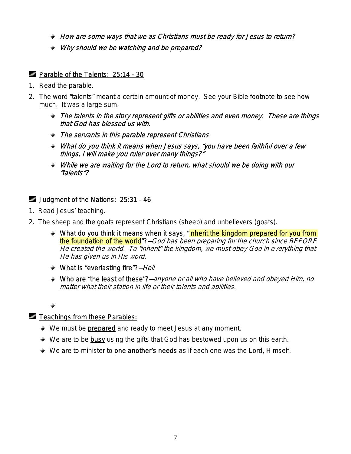- $\rightarrow$  How are some ways that we as Christians must be ready for Jesus to return?
- Why should we be watching and be prepared?

## **Parable of the Talents: 25:14 - 30**

- 1. Read the parable.
- 2. The word "talents" meant a certain amount of money. See your Bible footnote to see how much. It was a large sum.
	- The talents in the story represent gifts or abilities and even money. These are things that God has blessed us with.
	- The servants in this parable represent Christians
	- What do you think it means when Jesus says, "you have been faithful over a few things, I will make you ruler over many things?"
	- While we are waiting for the Lord to return, what should we be doing with our "talents"?

## Judgment of the Nations: 25:31 - 46

- 1. Read Jesus' teaching.
- 2. The sheep and the goats represent Christians (sheep) and unbelievers (goats).
	- $\rightarrow$  What do you think it means when it says, "inherit the kingdom prepared for you from the foundation of the world"?–God has been preparing for the church since BEFORE He created the world. To "inherit" the kingdom, we must obey God in everything that He has given us in His word.
	- **★ What is "everlasting fire"?**—Hell
	- Who are "the least of these"?-anyone or all who have believed and obeyed Him, no matter what their station in life or their talents and abilities.

## $\blacksquare$  Teachings from these Parables:

- $\rightarrow$  We must be **prepared** and ready to meet Jesus at any moment.
- $\div$  We are to be busy using the gifts that God has bestowed upon us on this earth.
- **★** We are to minister to one another's needs as if each one was the Lord, Himself.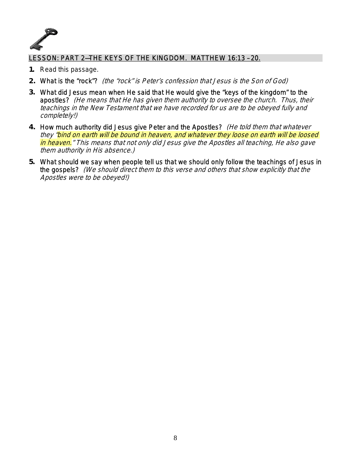

## LESSON: PART 2—THE KEYS OF THE KINGDOM. MATTHEW 16:13 – 20.

- **1.** Read this passage.
- **2.** What is the "rock"? (the "rock" is Peter's confession that Jesus is the Son of God)
- **3.** What did Jesus mean when He said that He would give the "keys of the kingdom" to the apostles? (He means that He has given them authority to oversee the church. Thus, their teachings in the New Testament that we have recorded for us are to be obeyed fully and completely!)
- **4.** How much authority did Jesus give Peter and the Apostles? (He told them that whatever they "bind on earth will be bound in heaven, and whatever they loose on earth will be loosed in heaven." This means that not only did Jesus give the Apostles all teaching, He also gave them authority in His absence.)
- **5.** What should we say when people tell us that we should only follow the teachings of Jesus in the gospels? (We should direct them to this verse and others that show explicitly that the Apostles were to be obeyed!)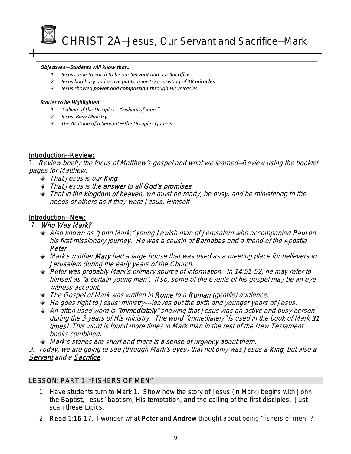

#### *Objectives—Students will know that…*

- *1. Jesus came to earth to be our Servant and our Sacrifice.*
- $\frac{1}{2}$ *2. Jesus had busy and active public ministry consisting of 18 miracles.*
- *3. Jesus showed power and compassion through His miracles.*

#### *Stories to be Highlighted:*

- *1. Calling of the Disciples—"Fishers of men."*
- *2. Jesus' Busy Ministry*
- *3. The Attitude of a Servant—the Disciples Quarrel*

## Introduction--Review:

1. Review briefly the focus of Matthew's gospel and what we learned—Review using the booklet pages for Matthew:

- **★ That Jesus is our King**
- That Jesus is the answer to all God's promises
- That in the **kingdom of heaven**, we must be ready, be busy, and be ministering to the needs of others as if they were Jesus, Himself.

## Introduction--New:

## 1. Who Was Mark?

- Also known as "John Mark;" young Jewish man of Jerusalem who accompanied **Paul** on his first missionary journey. He was a cousin of **Barnabas** and a friend of the Apostle Peter.
- **Mark's mother Mary had a large house that was used as a meeting place for believers in** Jerusalem during the early years of the Church.
- Peter was probably Mark's primary source of information. In 14:51-52, he may refer to himself as "a certain young man". If so, some of the events of his gospel may be an eyewitness account.
- The Gospel of Mark was written in Rome to a Roman (gentile) audience.
- $\rightarrow$  He goes right to Jesus' ministry---leaves out the birth and younger years of Jesus.
- An often used word is "**immediately**" showing that Jesus was an active and busy person during the 3 years of His ministry. The word "immediately" is used in the book of Mark 31 times! This word is found more times in Mark than in the rest of the New Testament books combined.
- **Mark's stories are short and there is a sense of urgency about them.**

3. Today, we are going to see (through Mark's eyes) that not only was Jesus a **King**, but also a Servant and a Sacrifice.

## LESSON: PART 1—"FISHERS OF MEN"

- 1. Have students turn to Mark 1. Show how the story of Jesus (in Mark) begins with John the Baptist, Jesus' baptism, His temptation, and the calling of the first disciples. Just scan these topics.
- 2. Read 1:16-17. I wonder what Peter and Andrew thought about being "fishers of men."?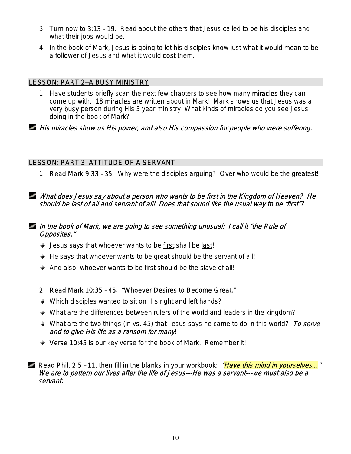- 3. Turn now to 3:13 19. Read about the others that Jesus called to be his disciples and what their jobs would be.
- 4. In the book of Mark, Jesus is going to let his disciples know just what it would mean to be a follower of Jesus and what it would cost them.

## LESSON: PART 2—A BUSY MINISTRY

1. Have students briefly scan the next few chapters to see how many miracles they can come up with. 18 miracles are written about in Mark! Mark shows us that Jesus was a very busy person during His 3 year ministry! What kinds of miracles do you see Jesus doing in the book of Mark?

**His miracles show us His power, and also His compassion for people who were suffering.** 

## LESSON: PART 3—ATTITUDE OF A SERVANT

1. Read Mark 9:33 – 35. Why were the disciples arguing? Over who would be the greatest!

## What does Jesus say about a person who wants to be first in the Kingdom of Heaven? He should be last of all and servant of all! Does that sound like the usual way to be "first"?

## In the book of Mark, we are going to see something unusual: I call it "the Rule of Opposites."

- $\rightarrow$  Jesus says that whoever wants to be first shall be last!
- $\div$  He says that whoever wants to be great should be the servant of all!
- $\triangleq$  And also, whoever wants to be first should be the slave of all!
- 2. Read Mark 10:35 45. "Whoever Desires to Become Great."
- **→ Which disciples wanted to sit on His right and left hands?**
- What are the differences between rulers of the world and leaders in the kingdom?
- **→ What are the two things (in vs. 45) that Jesus says he came to do in this world?** To serve and to give His life as a ransom for many!
- ◆ Verse 10:45 is our key verse for the book of Mark. Remember it!

## Read Phil. 2:5 - 11, then fill in the blanks in your workbook: *"Have this mind in yourselves...*" We are to pattern our lives after the life of Jesus---He was a servant---we must also be a servant.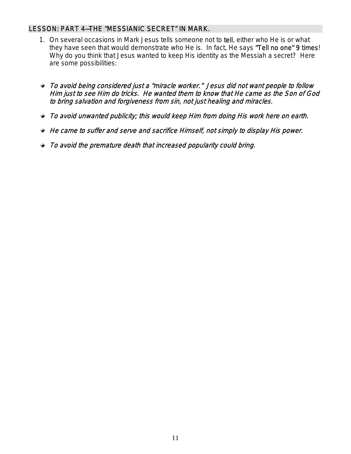## LESSON: PART 4—THE "MESSIANIC SECRET" IN MARK.

- 1. On several occasions in Mark Jesus tells someone not to tell, either who He is or what they have seen that would demonstrate who He is. In fact, He says "Tell no one" 9 times! Why do you think that Jesus wanted to keep His identity as the Messiah a secret? Here are some possibilities:
- To avoid being considered just a "miracle worker." Jesus did not want people to follow Him just to see Him do tricks. He wanted them to know that He came as the Son of God to bring salvation and forgiveness from sin, not just healing and miracles.
- To avoid unwanted publicity; this would keep Him from doing His work here on earth.
- $\div$  He came to suffer and serve and sacrifice Himself, not simply to display His power.
- $\rightarrow$  To avoid the premature death that increased popularity could bring.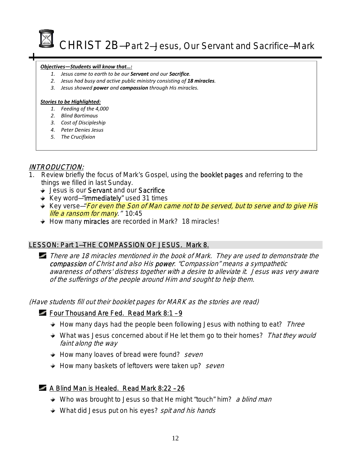

CHRIST 2B-Part 2-Jesus, Our Servant and Sacrifice-Mark

#### *Objectives—Students will know that…:*

- *1. Jesus came to earth to be our Servant and our Sacrifice.*
- *2. Jesus had busy and active public ministry consisting of 18 miracles.*
- *3. Jesus showed power and compassion through His miracles.*

#### *Stories to be Highlighted:*

- *1. Feeding of the 4,000*
- *2. Blind Bartimaus*
- *3. Cost of Discipleship*
- *4. Peter Denies Jesus*
- *5. The Crucifixion*

## INTRODUCTION:

- 1. Review briefly the focus of Mark's Gospel, using the **booklet pages** and referring to the things we filled in last Sunday.
	- **→ Jesus is our Servant and our Sacrifice**
	- $\div$  Key word-"immediately" used 31 times
	- Key verse—"For even the Son of Man came not to be served, but to serve and to give His *life a ransom for many.* " 10:45
	- $\rightarrow$  How many miracles are recorded in Mark? 18 miracles!

## LESSON: Part 1-THE COMPASSION OF JESUS. Mark 8.

There are 18 miracles mentioned in the book of Mark. They are used to demonstrate the compassion of Christ and also His power. "Compassion" means a sympathetic awareness of others' distress together with a desire to alleviate it. Jesus was very aware of the sufferings of the people around Him and sought to help them.

(Have students fill out their booklet pages for MARK as the stories are read)

## Four Thousand Are Fed. Read Mark 8:1 – 9

- $\rightarrow$  How many days had the people been following Jesus with nothing to eat? Three
- What was Jesus concerned about if He let them go to their homes? That they would faint along the way
- $\rightarrow$  How many loaves of bread were found? seven
- How many baskets of leftovers were taken up? seven

## A Blind Man is Healed. Read Mark 8:22 - 26

- **→ Who was brought to Jesus so that He might "touch" him?** a blind man
- What did Jesus put on his eyes? spit and his hands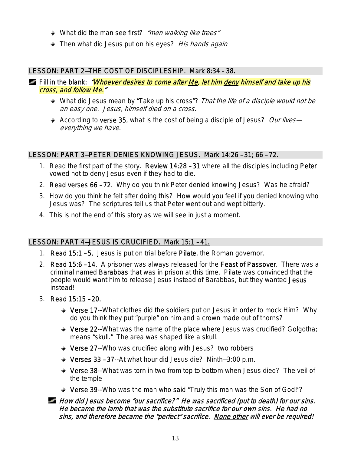- What did the man see first? "men walking like trees"
- Then what did Jesus put on his eyes? His hands again

## LESSON: PART 2-THE COST OF DISCIPLESHIP. Mark 8:34 - 38.

- Fill in the blank: *"Whoever desires to come after Me, let him deny himself and take up his* cross, and follow Me."
	- What did Jesus mean by "Take up his cross"? That the life of a disciple would not be an easy one. Jesus, himself died on a cross.
	- According to verse 35, what is the cost of being a disciple of Jesus? Our liveseverything we have.

## LESSON: PART 3—PETER DENIES KNOWING JESUS. Mark 14:26 – 31; 66 – 72.

- 1. Read the first part of the story. Review 14:28 31 where all the disciples including Peter vowed not to deny Jesus even if they had to die.
- 2. Read verses 66 72. Why do you think Peter denied knowing Jesus? Was he afraid?
- 3. How do you think he felt after doing this? How would you feel if you denied knowing who Jesus was? The scriptures tell us that Peter went out and wept bitterly.
- 4. This is not the end of this story as we will see in just a moment.

## LESSON: PART 4—JESUS IS CRUCIFIED. Mark 15:1 – 41.

- 1. Read 15:1 5. Jesus is put on trial before Pilate, the Roman governor.
- 2. Read 15:6 14. A prisoner was always released for the Feast of Passover. There was a criminal named Barabbas that was in prison at this time. Pilate was convinced that the people would want him to release Jesus instead of Barabbas, but they wanted Jesus instead!
- 3. Read 15:15 20.
	- ♦ Verse 17--What clothes did the soldiers put on Jesus in order to mock Him? Why do you think they put "purple" on him and a crown made out of thorns?
	- **→ Verse 22--**What was the name of the place where Jesus was crucified? Golgotha; means "skull." The area was shaped like a skull.
	- **→ Verse 27--**Who was crucified along with Jesus? two robbers
	- Verses 33 37--At what hour did Jesus die? Ninth—3:00 p.m.
	- **→ Verse 38--**What was torn in two from top to bottom when Jesus died? The veil of the temple
	- **→ Verse 39--**Who was the man who said "Truly this man was the Son of God!"?

## How did Jesus become "our sacrifice?" He was sacrificed (put to death) for our sins. He became the lamb that was the substitute sacrifice for our own sins. He had no sins, and therefore became the "perfect" sacrifice. None other will ever be required!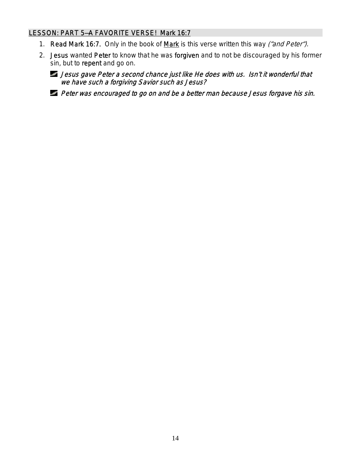## LESSON: PART 5-A FAVORITE VERSE! Mark 16:7

- 1. Read Mark 16:7. Only in the book of Mark is this verse written this way ("and Peter").
- 2. Jesus wanted Peter to know that he was forgiven and to not be discouraged by his former sin, but to repent and go on.
	- Jesus gave Peter a second chance just like He does with us. Isn't it wonderful that we have such a forgiving Savior such as Jesus?
	- **Peter was encouraged to go on and be a better man because Jesus forgave his sin.**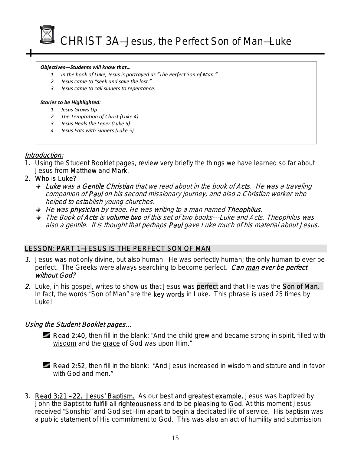

#### *Objectives—Students will know that…*

- *1. In the book of Luke, Jesus is portrayed as "The Perfect Son of Man."*
- *2. Jesus came to "seek and save the lost."*
- *3. Jesus came to call sinners to repentance.*

#### *Stories to be Highlighted:*

- *1. Jesus Grows Up*
- *2. The Temptation of Christ (Luke 4)*
- *3. Jesus Heals the Leper (Luke 5)*
- *4. Jesus Eats with Sinners (Luke 5)*

## Introduction:

- 1. Using the Student Booklet pages, review very briefly the things we have learned so far about Jesus from Matthew and Mark.
- 2. Who is Luke?
	- $\rightarrow$  Luke was a Gentile Christian that we read about in the book of Acts. He was a traveling companion of **Paul** on his second missionary journey, and also a Christian worker who helped to establish young churches.
	- $\rightarrow$  He was physician by trade. He was writing to a man named Theophilus.
	- The Book of Acts is volume two of this set of two books---Luke and Acts. Theophilus was also a gentile. It is thought that perhaps **Paul** gave Luke much of his material about Jesus.

## LESSON: PART 1—JESUS IS THE PERFECT SON OF MAN

- 1. Jesus was not only divine, but also human. He was perfectly human; the only human to ever be perfect. The Greeks were always searching to become perfect. Can man ever be perfect without God?
- 2. Luke, in his gospel, writes to show us that Jesus was perfect and that He was the Son of Man. In fact, the words "Son of Man" are the key words in Luke. This phrase is used 25 times by Luke!

## Using the Student Booklet pages…

- Read 2:40, then fill in the blank: "And the child grew and became strong in spirit, filled with wisdom and the grace of God was upon Him."
- Read 2:52, then fill in the blank: "And Jesus increased in wisdom and stature and in favor with God and men."
- 3. Read 3:21 22. Jesus' Baptism. As our best and greatest example, Jesus was baptized by John the Baptist to fulfill all righteousness and to be pleasing to God. At this moment Jesus received "Sonship" and God set Him apart to begin a dedicated life of service. His baptism was a public statement of His commitment to God. This was also an act of humility and submission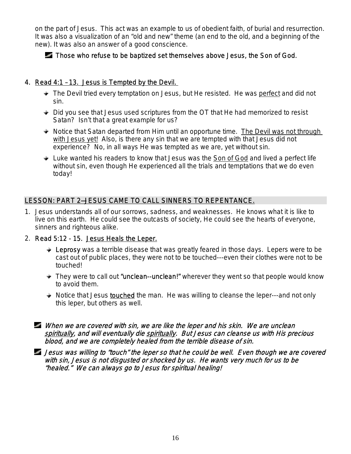on the part of Jesus. This act was an example to us of obedient faith, of burial and resurrection. It was also a visualization of an "old and new" theme (an end to the old, and a beginning of the new). It was also an answer of a good conscience.

## Those who refuse to be baptized set themselves above Jesus, the Son of God.

## 4. Read 4:1 – 13. Jesus is Tempted by the Devil.

- $\rightarrow$  The Devil tried every temptation on Jesus, but He resisted. He was perfect and did not sin.
- $\rightarrow$  Did you see that Jesus used scriptures from the OT that He had memorized to resist Satan? Isn't that a great example for us?
- $\rightarrow$  Notice that Satan departed from Him until an opportune time. The Devil was not through with Jesus yet! Also, is there any sin that we are tempted with that Jesus did not experience? No, in all ways He was tempted as we are, yet without sin.
- Luke wanted his readers to know that Jesus was the Son of God and lived a perfect life without sin, even though He experienced all the trials and temptations that we do even today!

## LESSON: PART 2—JESUS CAME TO CALL SINNERS TO REPENTANCE.

- 1. Jesus understands all of our sorrows, sadness, and weaknesses. He knows what it is like to live on this earth. He could see the outcasts of society, He could see the hearts of everyone, sinners and righteous alike.
- 2. Read 5:12 15. Jesus Heals the Leper.
	- $\div$  Leprosy was a terrible disease that was greatly feared in those days. Lepers were to be cast out of public places, they were not to be touched---even their clothes were not to be touched!
	- $\rightarrow$  They were to call out "unclean--unclean!" wherever they went so that people would know to avoid them.
	- Notice that Jesus **touched** the man. He was willing to cleanse the leper---and not only this leper, but others as well.
	- When we are covered with sin, we are like the leper and his skin. We are unclean spiritually, and will eventually die spiritually. But Jesus can cleanse us with His precious blood, and we are completely healed from the terrible disease of sin.

Jesus was willing to "touch" the leper so that he could be well. Even though we are covered with sin, Jesus is not disgusted or shocked by us. He wants very much for us to be "healed." We can always go to Jesus for spiritual healing!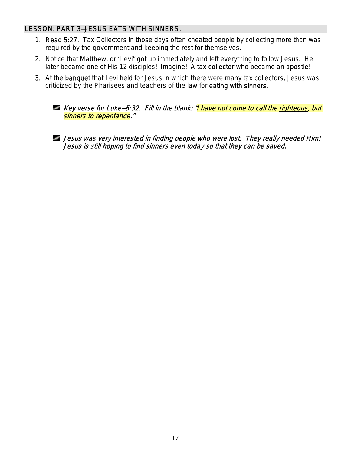## LESSON: PART 3—JESUS EATS WITH SINNERS.

- 1. Read 5:27. Tax Collectors in those days often cheated people by collecting more than was required by the government and keeping the rest for themselves.
- 2. Notice that Matthew, or "Levi" got up immediately and left everything to follow Jesus. He later became one of His 12 disciples! Imagine! A tax collector who became an apostle!
- 3. At the banquet that Levi held for Jesus in which there were many tax collectors, Jesus was criticized by the Pharisees and teachers of the law for eating with sinners.



Jesus was very interested in finding people who were lost. They really needed Him! Jesus is still hoping to find sinners even today so that they can be saved.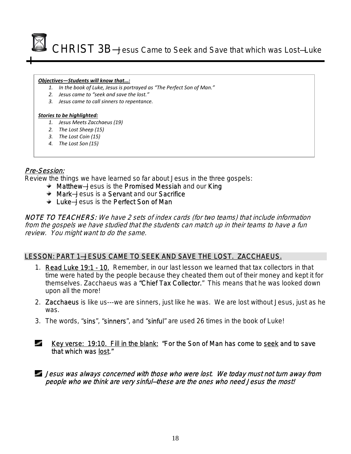CHRIST 3B—Jesus Came to Seek and Save that which was Lost—Luke

Ī

#### *Objectives—Students will know that…:*

- *1. In the book of Luke, Jesus is portrayed as "The Perfect Son of Man."*
- *2. Jesus came to "seek and save the lost."*
- *3. Jesus came to call sinners to repentance.*

#### *Stories to be highlighted:*

- *1. Jesus Meets Zacchaeus (19)*
- *2. The Lost Sheep (15)*
- *3. The Lost Coin (15)*
- *4. The Lost Son (15)*

## Pre-Session:

Review the things we have learned so far about Jesus in the three gospels:

- $\bullet$  Matthew–Jesus is the Promised Messiah and our King
- **★ Mark**–Jesus is a Servant and our Sacrifice
- Luke—Jesus is the Perfect Son of Man

NOTE TO TEACHERS: We have 2 sets of index cards (for two teams) that include information from the gospels we have studied that the students can match up in their teams to have a fun review. You might want to do the same.

## LESSON: PART 1—JESUS CAME TO SEEK AND SAVE THE LOST. ZACCHAEUS.

- 1. Read Luke 19:1 10. Remember, in our last lesson we learned that tax collectors in that time were hated by the people because they cheated them out of their money and kept it for themselves. Zacchaeus was a "Chief Tax Collector." This means that he was looked down upon all the more!
- 2. Zacchaeus is like us---we are sinners, just like he was. We are lost without Jesus, just as he was.
- 3. The words, "sins", "sinners", and "sinful" are used 26 times in the book of Luke!
- المحاور Key verse: 19:10. Fill in the blank: "For the Son of Man has come to seek and to save that which was lost."
- Jesus was always concerned with those who were lost. We today must not turn away from people who we think are very sinful—these are the ones who need Jesus the most!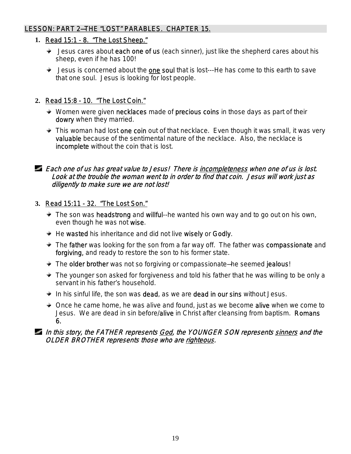## LESSON: PART 2—THE "LOST" PARABLES. CHAPTER 15.

## **1.** Read 15:1 - 8. "The Lost Sheep."

- $\div$  Jesus cares about each one of us (each sinner), just like the shepherd cares about his sheep, even if he has 100!
- $\bullet$  Jesus is concerned about the one soul that is lost---He has come to this earth to save that one soul. Jesus is looking for lost people.

## **2.** Read 15:8 - 10. "The Lost Coin."

- $*$  Women were given necklaces made of precious coins in those days as part of their dowry when they married.
- $\div$  This woman had lost one coin out of that necklace. Even though it was small, it was very valuable because of the sentimental nature of the necklace. Also, the necklace is incomplete without the coin that is lost.

## Each one of us has great value to Jesus! There is incompleteness when one of us is lost. Look at the trouble the woman went to in order to find that coin. Jesus will work just as diligently to make sure we are not lost!

## **3.** Read 15:11 - 32. "The Lost Son."

- $\div$  The son was headstrong and willful--he wanted his own way and to go out on his own, even though he was not wise.
- $\div$  He wasted his inheritance and did not live wisely or Godly.
- $\bullet$  The father was looking for the son from a far way off. The father was compassionate and forgiving, and ready to restore the son to his former state.
- **The older brother** was not so forgiving or compassionate–he seemed jealous!
- The younger son asked for forgiveness and told his father that he was willing to be only a servant in his father's household.
- $\bullet$  In his sinful life, the son was dead, as we are dead in our sins without Jesus.
- $\triangleq$  Once he came home, he was alive and found, just as we become alive when we come to Jesus. We are dead in sin before/alive in Christ after cleansing from baptism. Romans 6.

## In this story, the FATHER represents God, the YOUNGER SON represents sinners and the OLDER BROTHER represents those who are righteous.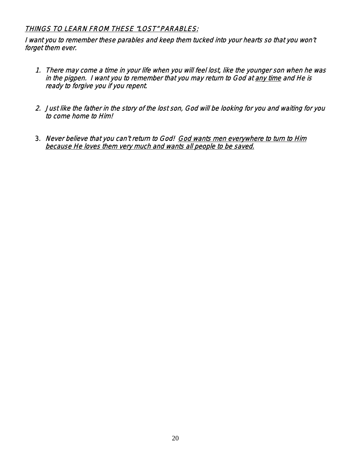## THINGS TO LEARN FROM THESE "LOST" PARABLES:

I want you to remember these parables and keep them tucked into your hearts so that you won't forget them ever.

- 1. There may come a time in your life when you will feel lost, like the younger son when he was in the pigpen. I want you to remember that you may return to God at any time and He is ready to forgive you if you repent.
- 2. Just like the father in the story of the lost son, God will be looking for you and waiting for you to come home to Him!
- 3. Never believe that you can't return to God! God wants men everywhere to turn to Him because He loves them very much and wants all people to be saved.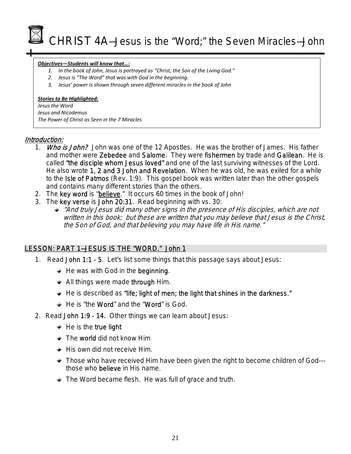CHRIST 4A—Jesus is the "Word;" the Seven Miracles—John

#### *Objectives—Students will know that…:*

- *1. In the book of John, Jesus is portrayed as "Christ, the Son of the Living God."*
- *2. Jesus is "The Word" that was with God in the beginning.*
- *3. Jesus' power is shown through seven different miracles in the book of John*

#### *Stories to Be Highlighted:*

*Jesus the Word Jesus and Nicodemus The Power of Christ as Seen in the 7 Miracles*

## Introduction:

- 1. Who is John? John was one of the 12 Apostles. He was the brother of James. His father and mother were Zebedee and Salome. They were fishermen by trade and Galilean. He is called "the disciple whom Jesus loved" and one of the last surviving witnesses of the Lord. He also wrote 1, 2 and 3 John and Revelation. When he was old, he was exiled for a while to the Isle of Patmos (Rev. 1:9). This gospel book was written later than the other gospels and contains many different stories than the others.
- 2. The key word is "believe." It occurs 60 times in the book of John!
- 3. The key verse is John 20:31. Read beginning with vs. 30:
	- "And truly Jesus did many other signs in the presence of His disciples, which are not written in this book; but these are written that you may believe that Jesus is the Christ, the Son of God, and that believing you may have life in His name."

## LESSON: PART 1—JESUS IS THE "WORD." John 1

- 1. Read John 1:1 5. Let's list some things that this passage says about Jesus:
	- $\div$  He was with God in the beginning.
	- All things were made through Him.
	- $\div$  He is described as "life; light of men; the light that shines in the darkness."
	- $\div$  He is "the Word" and the "Word" is God.
- 2. Read John 1:9 14. Other things we can learn about Jesus:
	- $\div$  He is the true light
	- $\div$  The world did not know Him
	- $\div$  His own did not receive Him.
	- **Those who have received Him have been given the right to become children of God--**those who believe in His name.
	- $\rightarrow$  The Word became flesh. He was full of grace and truth.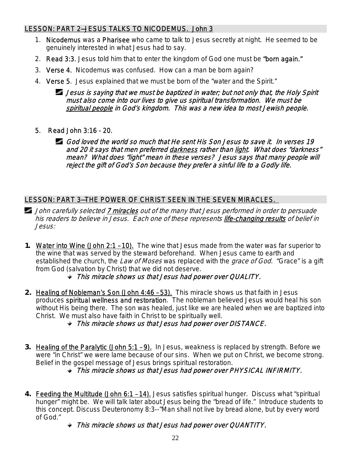## LESSON: PART 2—JESUS TALKS TO NICODEMUS. John 3

- 1. Nicodemus was a Pharisee who came to talk to Jesus secretly at night. He seemed to be genuinely interested in what Jesus had to say.
- 2. Read 3:3. Jesus told him that to enter the kingdom of God one must be "born again."
- 3. Verse 4. Nicodemus was confused. How can a man be born again?
- 4. Verse 5. Jesus explained that we must be born of the "water and the Spirit."

Jesus is saying that we must be baptized in water; but not only that, the Holy Spirit must also come into our lives to give us spiritual transformation. We must be spiritual people in God's kingdom. This was a new idea to most Jewish people.

- 5. Read John 3:16 20.
	- God loved the world so much that He sent His Son Jesus to save it. In verses 19 and 20 it says that men preferred darkness rather than light. What does "darkness" mean? What does "light" mean in these verses? Jesus says that many people will reject the gift of God's Son because they prefer a sinful life to a Godly life.

## LESSON: PART 3—THE POWER OF CHRIST SEEN IN THE SEVEN MIRACLES.

- **John carefully selected 7 miracles** out of the many that Jesus performed in order to persuade his readers to believe in Jesus. Each one of these represents life-changing results of belief in Jesus:
- **1. Water into Wine (John 2:1 10).** The wine that Jesus made from the water was far superior to the wine that was served by the steward beforehand. When Jesus came to earth and established the church, the *Law of Moses* was replaced with the *grace of God.* "Grace" is a gift from God (salvation by Christ) that we did not deserve.
	- $\rightarrow$  This miracle shows us that Jesus had power over QUALITY.
- **2.** Healing of Nobleman's Son (John 4:46 53). This miracle shows us that faith in Jesus produces spiritual wellness and restoration. The nobleman believed Jesus would heal his son without His being there. The son was healed, just like we are healed when we are baptized into Christ. We must also have faith in Christ to be spiritually well.
	- This miracle shows us that Jesus had power over DISTANCE.
- **3. Healing of the Paralytic (John 5:1 9).** In Jesus, weakness is replaced by strength. Before we were "in Christ" we were lame because of our sins. When we put on Christ, we become strong. Belief in the gospel message of Jesus brings spiritual restoration.
	- This miracle shows us that Jesus had power over PHYSICAL INFIRMITY.
- **4. Feeding the Multitude (John 6:1 14).** Jesus satisfies spiritual hunger. Discuss what "spiritual hunger" might be. We will talk later about Jesus being the "bread of life." Introduce students to this concept. Discuss Deuteronomy 8:3--"Man shall not live by bread alone, but by every word of God."

## This miracle shows us that Jesus had power over QUANTITY.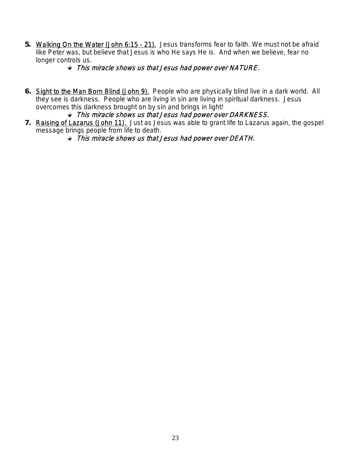- **5.** Walking On the Water (John 6:15 21). Jesus transforms fear to faith. We must not be afraid like Peter was, but believe that Jesus is who He says He is. And when we believe, fear no longer controls us.
	- $\rightarrow$  This miracle shows us that Jesus had power over NATURE.
- **6.** Sight to the Man Born Blind (John 9). People who are physically blind live in a dark world. All they see is darkness. People who are living in sin are living in spiritual darkness. Jesus overcomes this darkness brought on by sin and brings in light!
	- $\rightarrow$  This miracle shows us that Jesus had power over DARKNESS.
- **7.** Raising of Lazarus (John 11). Just as Jesus was able to grant life to Lazarus again, the gospel message brings people from life to death.
	- $\rightarrow$  This miracle shows us that Jesus had power over DEATH.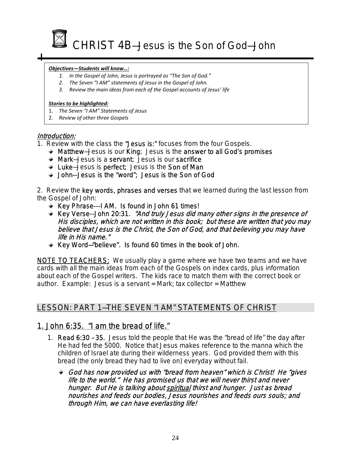

I

#### *Objectives—Students will know…:*

- *1. In the Gospel of John, Jesus is portrayed as "The Son of God."*
- *2. The Seven "I AM" statements of Jesus in the Gospel of John.*
- *3. Review the main ideas from each of the Gospel accounts of Jesus' life*

#### *Stories to be highlighted:*

- 1. *The Seven "I AM" Statements of Jesus*
- 2. *Review of other three Gospels*

### Introduction:

- 1. Review with the class the "Jesus is:" focuses from the four Gospels.
	- $\triangleleft$  Matthew–Jesus is our King; Jesus is the answer to all God's promises
	- Mark—Jesus is a servant; Jesus is our sacrifice
	- $\div$  Luke-Jesus is perfect; Jesus is the Son of Man
	- John--Jesus is the "word"; Jesus is the Son of God

2. Review the key words, phrases and verses that we learned during the last lesson from the Gospel of John:

- $\div$  Key Phrase---I AM. Is found in John 61 times!
- **★ Key Verse--John 20:31. "And truly Jesus did many other signs in the presence of** His disciples, which are not written in this book; but these are written that you may believe that Jesus is the Christ, the Son of God, and that believing you may have life in His name."
- $\div$  Key Word-"believe". Is found 60 times in the book of John.

**NOTE TO TEACHERS:** We usually play a game where we have two teams and we have cards with all the main ideas from each of the Gospels on index cards, plus information about each of the Gospel writers. The kids race to match them with the correct book or author. Example: Jesus is a servant = Mark; tax collector = Matthew

## LESSON: PART 1—THE SEVEN "I AM" STATEMENTS OF CHRIST

## 1. John 6:35. "I am the bread of life."

- 1. Read 6:30 35. Jesus told the people that He was the "bread of life" the day after He had fed the 5000. Notice that Jesus makes reference to the manna which the children of Israel ate during their wilderness years. God provided them with this bread (the only bread they had to live on) everyday without fail.
	- God has now provided us with "bread from heaven" which is Christ! He "gives life to the world." He has promised us that we will never thirst and never hunger. But He is talking about spiritual thirst and hunger. Just as bread nourishes and feeds our bodies, Jesus nourishes and feeds ours souls; and through Him, we can have everlasting life!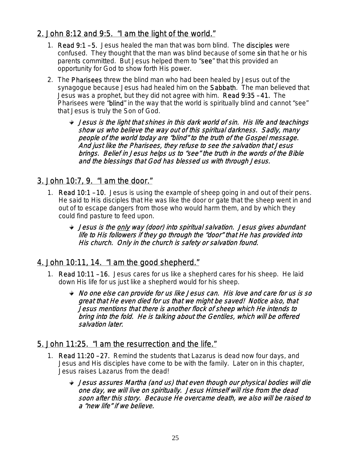## 2. John 8:12 and 9:5. "I am the light of the world."

- 1. Read 9:1 5. Jesus healed the man that was born blind. The disciples were confused. They thought that the man was blind because of some sin that he or his parents committed. But Jesus helped them to "see" that this provided an opportunity for God to show forth His power.
- 2. The Pharisees threw the blind man who had been healed by Jesus out of the synagogue because Jesus had healed him on the Sabbath. The man believed that Jesus was a prophet, but they did not agree with him. Read 9:35 – 41. The Pharisees were "blind" in the way that the world is spiritually blind and cannot "see" that Jesus is truly the Son of God.
	- $\rightarrow$  Jesus is the light that shines in this dark world of sin. His life and teachings show us who believe the way out of this spiritual darkness. Sadly, many people of the world today are "blind" to the truth of the Gospel message. And just like the Pharisees, they refuse to see the salvation that Jesus brings. Belief in Jesus helps us to "see" the truth in the words of the Bible and the blessings that God has blessed us with through Jesus.

## 3. John 10:7, 9. "I am the door."

- 1. Read 10:1 10. Jesus is using the example of sheep going in and out of their pens. He said to His disciples that He was like the door or gate that the sheep went in and out of to escape dangers from those who would harm them, and by which they could find pasture to feed upon.
	- Jesus is the only way (door) into spiritual salvation. Jesus gives abundant life to His followers if they go through the "door" that He has provided into His church. Only in the church is safety or salvation found.

## 4. John 10:11, 14. "I am the good shepherd."

- 1. Read 10:11 16. Jesus cares for us like a shepherd cares for his sheep. He laid down His life for us just like a shepherd would for his sheep.
	- No one else can provide for us like Jesus can. His love and care for us is so great that He even died for us that we might be saved! Notice also, that Jesus mentions that there is another flock of sheep which He intends to bring into the fold. He is talking about the Gentiles, which will be offered salvation later.

## 5. John 11:25. "I am the resurrection and the life."

- 1. Read 11:20 27. Remind the students that Lazarus is dead now four days, and Jesus and His disciples have come to be with the family. Later on in this chapter, Jesus raises Lazarus from the dead!
	- Jesus assures Martha (and us) that even though our physical bodies will die one day, we will live on spiritually. Jesus Himself will rise from the dead soon after this story. Because He overcame death, we also will be raised to a "new life" if we believe.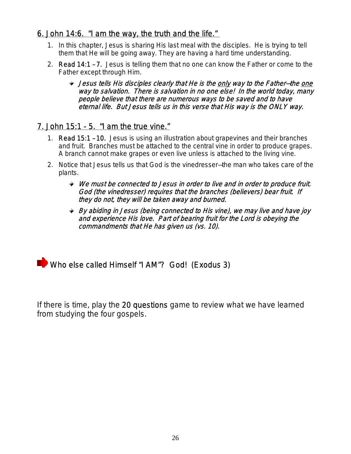## 6. John 14:6. "I am the way, the truth and the life."

- 1. In this chapter, Jesus is sharing His last meal with the disciples. He is trying to tell them that He will be going away. They are having a hard time understanding.
- 2. Read 14:1 7. Jesus is telling them that no one can know the Father or come to the Father except through Him.
	- Jesus tells His disciples clearly that He is the only way to the Father—the one way to salvation. There is salvation in no one else! In the world today, many people believe that there are numerous ways to be saved and to have eternal life. But Jesus tells us in this verse that His way is the ONLY way.

## 7. John 15:1 - 5. "I am the true vine."

- 1. Read 15:1 10. Jesus is using an illustration about grapevines and their branches and fruit. Branches must be attached to the central vine in order to produce grapes. A branch cannot make grapes or even live unless is attached to the living vine.
- 2. Notice that Jesus tells us that God is the vinedresser—the man who takes care of the plants.
	- $\rightarrow$  We must be connected to Jesus in order to live and in order to produce fruit. God (the vinedresser) requires that the branches (believers) bear fruit. If they do not, they will be taken away and burned.
	- By abiding in Jesus (being connected to His vine), we may live and have joy and experience His love. Part of bearing fruit for the Lord is obeying the commandments that He has given us (vs. 10).

**Who else called Himself "I AM"? God! (Exodus 3)** 

If there is time, play the 20 questions game to review what we have learned from studying the four gospels.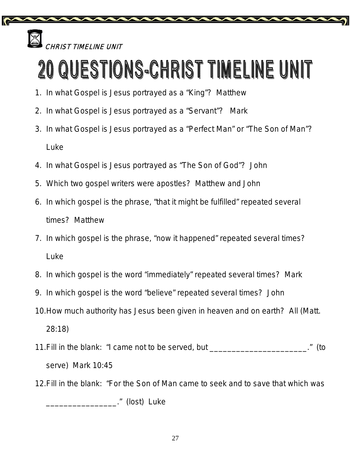

.<br>HRIST TIMELINE UNIT

# O QUESTIONS-CHRIST TIMELINE UNIT

- 1. In what Gospel is Jesus portrayed as a "King"? Matthew
- 2. In what Gospel is Jesus portrayed as a "Servant"? Mark
- 3. In what Gospel is Jesus portrayed as a "Perfect Man" or "The Son of Man"? Luke
- 4. In what Gospel is Jesus portrayed as "The Son of God"? John
- 5. Which two gospel writers were apostles? Matthew and John
- 6. In which gospel is the phrase, "that it might be fulfilled" repeated several times? Matthew
- 7. In which gospel is the phrase, "now it happened" repeated several times? Luke
- 8. In which gospel is the word "immediately" repeated several times? Mark
- 9. In which gospel is the word "believe" repeated several times? John
- 10.How much authority has Jesus been given in heaven and on earth? All (Matt. 28:18)
- 11.Fill in the blank: "I came not to be served, but \_\_\_\_\_\_\_\_\_\_\_\_\_\_\_\_\_\_\_\_\_\_." (to serve) Mark 10:45
- 12.Fill in the blank: "For the Son of Man came to seek and to save that which was

\_\_\_\_\_\_\_\_\_\_\_\_\_\_\_\_." (lost) Luke